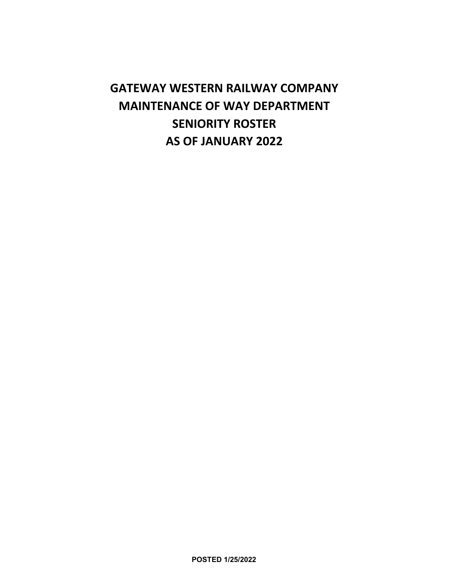# **GATEWAY WESTERN RAILWAY COMPANY MAINTENANCE OF WAY DEPARTMENT SENIORITY ROSTER AS OF JANUARY 2022**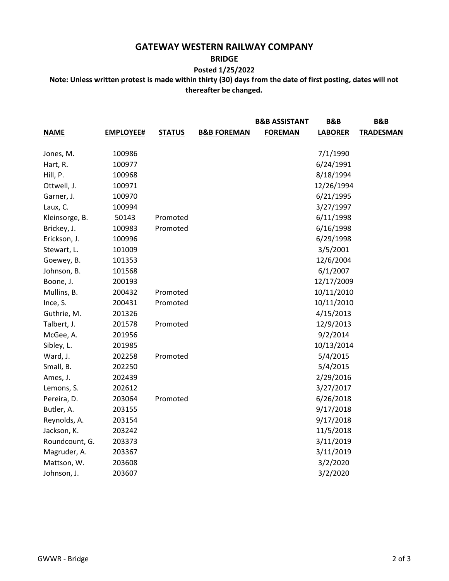## **GATEWAY WESTERN RAILWAY COMPANY**

#### **BRIDGE**

### **Posted 1/25/2022**

**Note: Unless written protest is made within thirty (30) days from the date of first posting, dates will not thereafter be changed.** 

|                |                  |               |                        | <b>B&amp;B ASSISTANT</b> | B&B            | B&B              |
|----------------|------------------|---------------|------------------------|--------------------------|----------------|------------------|
| <b>NAME</b>    | <b>EMPLOYEE#</b> | <b>STATUS</b> | <b>B&amp;B FOREMAN</b> | <b>FOREMAN</b>           | <b>LABORER</b> | <b>TRADESMAN</b> |
| Jones, M.      | 100986           |               |                        |                          | 7/1/1990       |                  |
| Hart, R.       | 100977           |               |                        |                          | 6/24/1991      |                  |
| Hill, P.       | 100968           |               |                        |                          | 8/18/1994      |                  |
| Ottwell, J.    | 100971           |               |                        |                          | 12/26/1994     |                  |
| Garner, J.     | 100970           |               |                        |                          | 6/21/1995      |                  |
| Laux, C.       | 100994           |               |                        |                          | 3/27/1997      |                  |
| Kleinsorge, B. | 50143            | Promoted      |                        |                          | 6/11/1998      |                  |
| Brickey, J.    | 100983           | Promoted      |                        |                          | 6/16/1998      |                  |
| Erickson, J.   | 100996           |               |                        |                          | 6/29/1998      |                  |
| Stewart, L.    | 101009           |               |                        |                          | 3/5/2001       |                  |
| Goewey, B.     | 101353           |               |                        |                          | 12/6/2004      |                  |
| Johnson, B.    | 101568           |               |                        |                          | 6/1/2007       |                  |
| Boone, J.      | 200193           |               |                        |                          | 12/17/2009     |                  |
| Mullins, B.    | 200432           | Promoted      |                        |                          | 10/11/2010     |                  |
| Ince, S.       | 200431           | Promoted      |                        |                          | 10/11/2010     |                  |
| Guthrie, M.    | 201326           |               |                        |                          | 4/15/2013      |                  |
| Talbert, J.    | 201578           | Promoted      |                        |                          | 12/9/2013      |                  |
| McGee, A.      | 201956           |               |                        |                          | 9/2/2014       |                  |
| Sibley, L.     | 201985           |               |                        |                          | 10/13/2014     |                  |
| Ward, J.       | 202258           | Promoted      |                        |                          | 5/4/2015       |                  |
| Small, B.      | 202250           |               |                        |                          | 5/4/2015       |                  |
| Ames, J.       | 202439           |               |                        |                          | 2/29/2016      |                  |
| Lemons, S.     | 202612           |               |                        |                          | 3/27/2017      |                  |
| Pereira, D.    | 203064           | Promoted      |                        |                          | 6/26/2018      |                  |
| Butler, A.     | 203155           |               |                        |                          | 9/17/2018      |                  |
| Reynolds, A.   | 203154           |               |                        |                          | 9/17/2018      |                  |
| Jackson, K.    | 203242           |               |                        |                          | 11/5/2018      |                  |
| Roundcount, G. | 203373           |               |                        |                          | 3/11/2019      |                  |
| Magruder, A.   | 203367           |               |                        |                          | 3/11/2019      |                  |
| Mattson, W.    | 203608           |               |                        |                          | 3/2/2020       |                  |
| Johnson, J.    | 203607           |               |                        |                          | 3/2/2020       |                  |